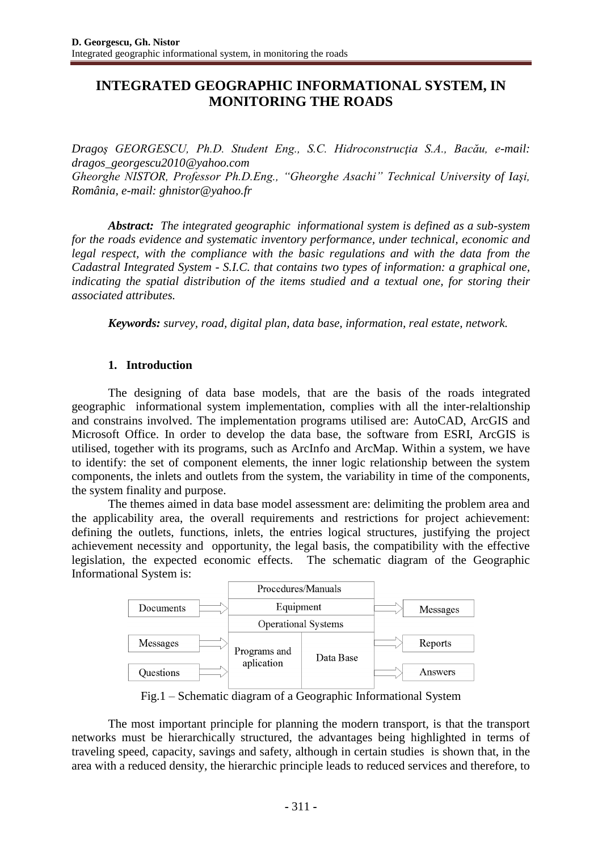# **INTEGRATED GEOGRAPHIC INFORMATIONAL SYSTEM, IN MONITORING THE ROADS**

*Dragoş GEORGESCU, Ph.D. Student Eng., S.C. Hidroconstrucţia S.A., Bacău, e-mail: dragos\_georgescu2010@yahoo.com Gheorghe NISTOR, Professor Ph.D.Eng., "Gheorghe Asachi" Technical University of Iaşi, România, e-mail: ghnistor@yahoo.fr*

*Abstract: The integrated geographic informational system is defined as a sub-system for the roads evidence and systematic inventory performance, under technical, economic and legal respect, with the compliance with the basic regulations and with the data from the Cadastral Integrated System - S.I.C. that contains two types of information: a graphical one, indicating the spatial distribution of the items studied and a textual one, for storing their associated attributes.*

*Keywords: survey, road, digital plan, data base, information, real estate, network.*

## **1. Introduction**

The designing of data base models, that are the basis of the roads integrated geographic informational system implementation, complies with all the inter-relaltionship and constrains involved. The implementation programs utilised are: AutoCAD, ArcGIS and Microsoft Office. In order to develop the data base, the software from ESRI, ArcGIS is utilised, together with its programs, such as ArcInfo and ArcMap. Within a system, we have to identify: the set of component elements, the inner logic relationship between the system components, the inlets and outlets from the system, the variability in time of the components, the system finality and purpose.

The themes aimed in data base model assessment are: delimiting the problem area and the applicability area, the overall requirements and restrictions for project achievement: defining the outlets, functions, inlets, the entries logical structures, justifying the project achievement necessity and opportunity, the legal basis, the compatibility with the effective legislation, the expected economic effects. The schematic diagram of the Geographic Informational System is:



Fig.1 – Schematic diagram of a Geographic Informational System

The most important principle for planning the modern transport, is that the transport networks must be hierarchically structured, the advantages being highlighted in terms of traveling speed, capacity, savings and safety, although in certain studies is shown that, in the area with a reduced density, the hierarchic principle leads to reduced services and therefore, to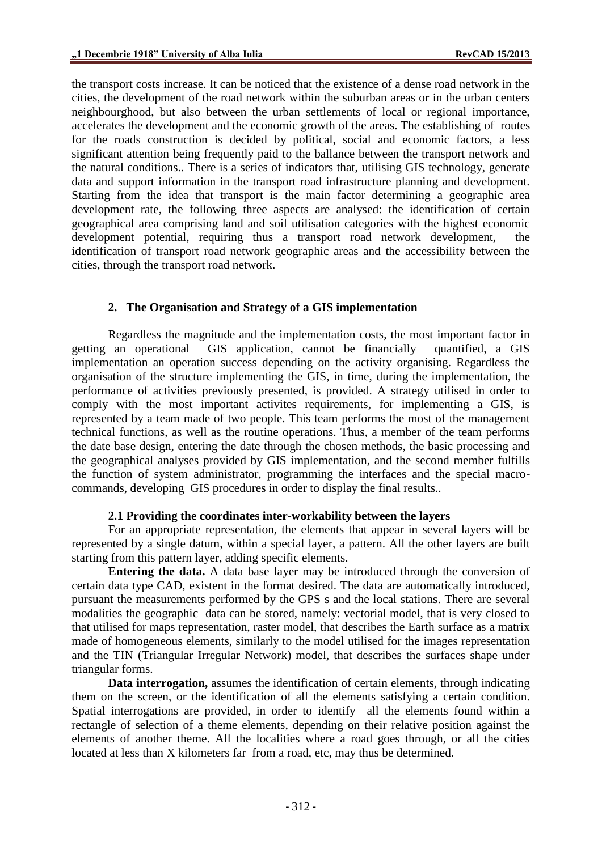the transport costs increase. It can be noticed that the existence of a dense road network in the cities, the development of the road network within the suburban areas or in the urban centers neighbourghood, but also between the urban settlements of local or regional importance, accelerates the development and the economic growth of the areas. The establishing of routes for the roads construction is decided by political, social and economic factors, a less significant attention being frequently paid to the ballance between the transport network and the natural conditions.. There is a series of indicators that, utilising GIS technology, generate data and support information in the transport road infrastructure planning and development. Starting from the idea that transport is the main factor determining a geographic area development rate, the following three aspects are analysed: the identification of certain geographical area comprising land and soil utilisation categories with the highest economic development potential, requiring thus a transport road network development, the identification of transport road network geographic areas and the accessibility between the cities, through the transport road network.

## **2. The Organisation and Strategy of a GIS implementation**

Regardless the magnitude and the implementation costs, the most important factor in getting an operational GIS application, cannot be financially quantified, a GIS implementation an operation success depending on the activity organising. Regardless the organisation of the structure implementing the GIS, in time, during the implementation, the performance of activities previously presented, is provided. A strategy utilised in order to comply with the most important activites requirements, for implementing a GIS, is represented by a team made of two people. This team performs the most of the management technical functions, as well as the routine operations. Thus, a member of the team performs the date base design, entering the date through the chosen methods, the basic processing and the geographical analyses provided by GIS implementation, and the second member fulfills the function of system administrator, programming the interfaces and the special macrocommands, developing GIS procedures in order to display the final results..

### **2.1 Providing the coordinates inter-workability between the layers**

For an appropriate representation, the elements that appear in several layers will be represented by a single datum, within a special layer, a pattern. All the other layers are built starting from this pattern layer, adding specific elements.

**Entering the data.** A data base layer may be introduced through the conversion of certain data type CAD, existent in the format desired. The data are automatically introduced, pursuant the measurements performed by the GPS s and the local stations. There are several modalities the geographic data can be stored, namely: vectorial model, that is very closed to that utilised for maps representation, raster model, that describes the Earth surface as a matrix made of homogeneous elements, similarly to the model utilised for the images representation and the TIN (Triangular Irregular Network) model, that describes the surfaces shape under triangular forms.

**Data interrogation,** assumes the identification of certain elements, through indicating them on the screen, or the identification of all the elements satisfying a certain condition. Spatial interrogations are provided, in order to identify all the elements found within a rectangle of selection of a theme elements, depending on their relative position against the elements of another theme. All the localities where a road goes through, or all the cities located at less than X kilometers far from a road, etc, may thus be determined.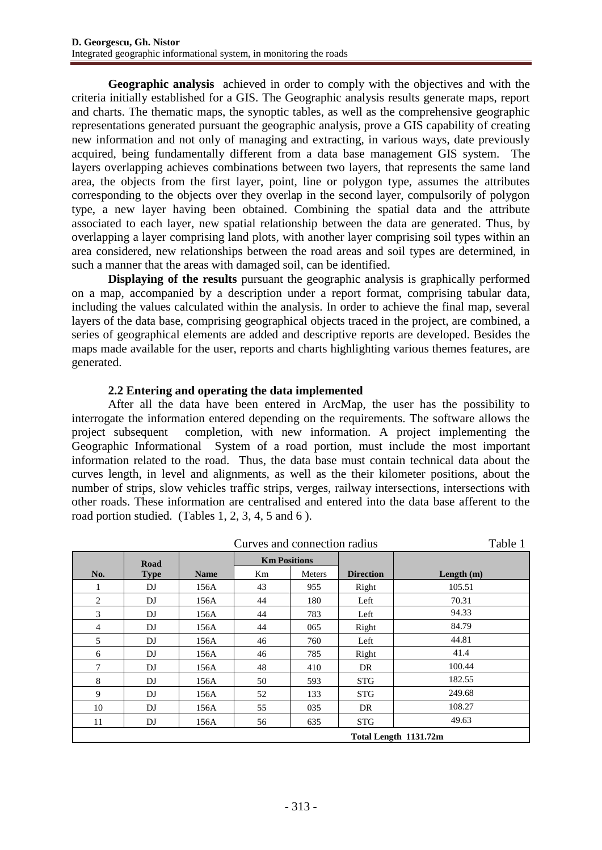**Geographic analysis** achieved in order to comply with the objectives and with the criteria initially established for a GIS. The Geographic analysis results generate maps, report and charts. The thematic maps, the synoptic tables, as well as the comprehensive geographic representations generated pursuant the geographic analysis, prove a GIS capability of creating new information and not only of managing and extracting, in various ways, date previously acquired, being fundamentally different from a data base management GIS system. The layers overlapping achieves combinations between two layers, that represents the same land area, the objects from the first layer, point, line or polygon type, assumes the attributes corresponding to the objects over they overlap in the second layer, compulsorily of polygon type, a new layer having been obtained. Combining the spatial data and the attribute associated to each layer, new spatial relationship between the data are generated. Thus, by overlapping a layer comprising land plots, with another layer comprising soil types within an area considered, new relationships between the road areas and soil types are determined, in such a manner that the areas with damaged soil, can be identified.

**Displaying of the results** pursuant the geographic analysis is graphically performed on a map, accompanied by a description under a report format, comprising tabular data, including the values calculated within the analysis. In order to achieve the final map, several layers of the data base, comprising geographical objects traced in the project, are combined, a series of geographical elements are added and descriptive reports are developed. Besides the maps made available for the user, reports and charts highlighting various themes features, are generated.

## **2.2 Entering and operating the data implemented**

After all the data have been entered in ArcMap, the user has the possibility to interrogate the information entered depending on the requirements. The software allows the project subsequent completion, with new information. A project implementing the Geographic Informational System of a road portion, must include the most important information related to the road. Thus, the data base must contain technical data about the curves length, in level and alignments, as well as the their kilometer positions, about the number of strips, slow vehicles traffic strips, verges, railway intersections, intersections with other roads. These information are centralised and entered into the data base afferent to the road portion studied. (Tables 1, 2, 3, 4, 5 and 6 ).

|                |             |             | Curves and connection radius |        |                  | Table 1               |  |
|----------------|-------------|-------------|------------------------------|--------|------------------|-----------------------|--|
|                | Road        |             | <b>Km Positions</b>          |        |                  |                       |  |
| No.            | <b>Type</b> | <b>Name</b> | Km                           | Meters | <b>Direction</b> | Length $(m)$          |  |
|                | DJ          | 156A        | 43                           | 955    | Right            | 105.51                |  |
| 2              | DJ          | 156A        | 44                           | 180    | Left             | 70.31                 |  |
| 3              | DJ          | 156A        | 44                           | 783    | Left             | 94.33                 |  |
| $\overline{4}$ | DJ          | 156A        | 44                           | 065    | Right            | 84.79                 |  |
| 5              | DJ          | 156A        | 46                           | 760    | Left             | 44.81                 |  |
| 6              | DJ          | 156A        | 46                           | 785    | Right            | 41.4                  |  |
| $\tau$         | DJ          | 156A        | 48                           | 410    | DR               | 100.44                |  |
| 8              | DJ          | 156A        | 50                           | 593    | <b>STG</b>       | 182.55                |  |
| 9              | DJ          | 156A        | 52                           | 133    | <b>STG</b>       | 249.68                |  |
| 10             | DJ          | 156A        | 55                           | 035    | DR               | 108.27                |  |
| 11             | DJ          | 156A        | 56                           | 635    | <b>STG</b>       | 49.63                 |  |
|                |             |             |                              |        |                  | Total Length 1131.72m |  |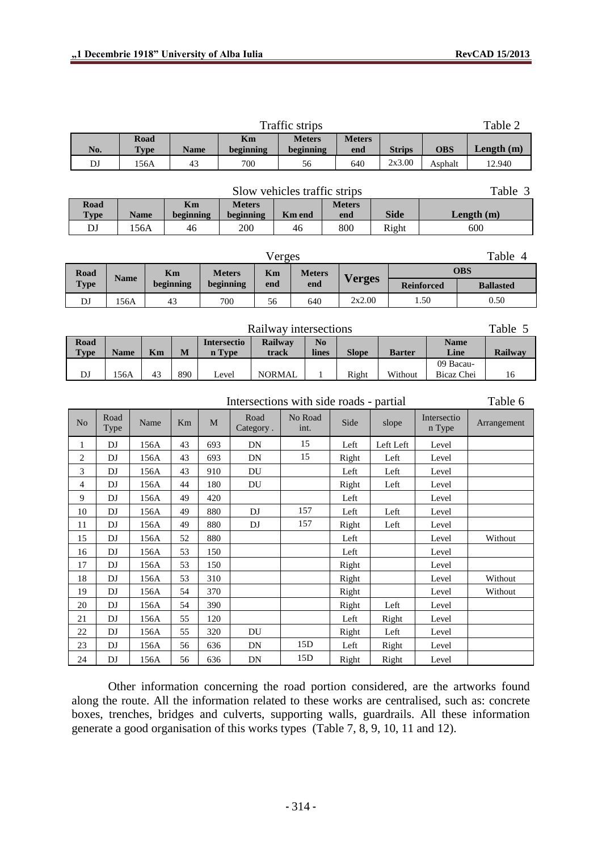|                         |                            |             |             |             |                    |                 |                   | Traffic strips        |                            |                                         |               |                   |                       |     | Table 2          |
|-------------------------|----------------------------|-------------|-------------|-------------|--------------------|-----------------|-------------------|-----------------------|----------------------------|-----------------------------------------|---------------|-------------------|-----------------------|-----|------------------|
| No.                     |                            | <b>Type</b> | <b>Road</b> | <b>Name</b> |                    | Km<br>beginning |                   |                       | <b>Meters</b><br>beginning | <b>Meters</b><br>end                    | <b>Strips</b> |                   | <b>OBS</b>            |     | Length (m)       |
| DJ                      |                            |             | 156A        | 43          |                    | 700             |                   |                       | 56                         | 640                                     | 2x3.00        |                   | Asphalt               |     | 12.940           |
|                         |                            |             |             |             |                    |                 |                   |                       |                            |                                         |               |                   |                       |     |                  |
|                         |                            |             |             |             |                    |                 |                   |                       |                            | Slow vehicles traffic strips            |               |                   |                       |     | Table 3          |
| Road                    |                            |             |             | Km          |                    | <b>Meters</b>   |                   |                       |                            | <b>Meters</b>                           |               |                   |                       |     |                  |
| <b>Type</b>             |                            | <b>Name</b> |             | beginning   |                    | beginning       |                   | Km end                |                            | end                                     | <b>Side</b>   |                   | Length (m)            |     |                  |
| DJ                      |                            | 156A        |             | 46          |                    | 200             |                   | 46                    |                            | 800                                     | Right         |                   |                       | 600 |                  |
| Table 4<br>Verges       |                            |             |             |             |                    |                 |                   |                       |                            |                                         |               |                   |                       |     |                  |
| <b>Road</b>             |                            | <b>Name</b> |             | Km          | <b>Meters</b>      |                 | Km                |                       | <b>Meters</b>              | <b>Verges</b>                           |               |                   | <b>OBS</b>            |     |                  |
| <b>Type</b>             |                            |             |             | beginning   | beginning          |                 | end               |                       | end                        |                                         |               | <b>Reinforced</b> |                       |     | <b>Ballasted</b> |
| DJ                      |                            | 156A        |             | 43          | 700                |                 | 56                |                       | 640                        | 2x2.00                                  |               |                   | 1.50                  |     | 0.50             |
|                         |                            |             |             |             |                    |                 |                   |                       |                            |                                         |               |                   |                       |     |                  |
|                         |                            |             |             |             |                    |                 |                   | Railway intersections |                            |                                         |               |                   |                       |     | Table 5          |
| Road                    |                            |             |             |             | <b>Intersectio</b> |                 |                   | Railway               | $\mathbf{N}\mathbf{o}$     |                                         |               |                   | <b>Name</b>           |     |                  |
| <b>Type</b>             |                            | <b>Name</b> | Km          | $\mathbf M$ | n Type             |                 |                   | track                 | lines                      | <b>Slope</b>                            | <b>Barter</b> |                   | Line<br>09 Bacau-     |     | Railway          |
| DJ                      |                            | 156A        | 43          | 890         | Level              |                 |                   | <b>NORMAL</b>         | $\mathbf{1}$               | Right                                   | Without       |                   | Bicaz Chei            |     | 16               |
|                         |                            |             |             |             |                    |                 |                   |                       |                            |                                         |               |                   |                       |     |                  |
|                         |                            |             |             |             |                    |                 |                   |                       |                            | Intersections with side roads - partial |               |                   |                       |     | Table 6          |
| No                      | Road<br>Type               |             | Name        | Km          | M                  |                 | Road<br>Category. |                       | No Road<br>int.            | Side                                    | slope         |                   | Intersectio<br>n Type |     | Arrangement      |
| $\mathbf{1}$            | DJ                         |             | 156A        | 43          | 693                |                 | DN                |                       | 15                         | Left                                    | Left Left     |                   | Level                 |     |                  |
| $\overline{\mathbf{c}}$ | DJ                         |             | 156A        | 43          | 693                |                 | DN                |                       | 15                         | Right                                   | Left          |                   | Level                 |     |                  |
| 3                       | DJ                         |             | 156A        | 43          | 910                |                 | DU                |                       |                            | Left                                    | Left          |                   | Level                 |     |                  |
| 4                       | DJ                         |             | 156A        | 44          | 180                |                 | DU                |                       |                            | Right                                   | Left          |                   | Level                 |     |                  |
| 9                       | DJ                         |             | 156A        | 49          | 420                |                 |                   |                       |                            | Left                                    |               |                   | Level                 |     |                  |
| 10                      | DJ                         |             | 156A        | 49          | 880                |                 | DJ                |                       | 157                        | Left                                    | Left          |                   | Level                 |     |                  |
| 11                      | DJ                         |             | 156A        | 49          | 880                |                 | DJ                |                       | 157                        | Right                                   | Left          |                   | Level                 |     |                  |
| 15                      | DJ                         |             | 156A        | 52          | 880                |                 |                   |                       |                            | Left                                    |               |                   | Level                 |     | Without          |
| 16                      | DJ                         |             | 156A        | 53          | 150                |                 |                   |                       |                            | Left                                    |               |                   | Level                 |     |                  |
| 17                      | DJ                         |             | 156A        | 53          | 150                |                 |                   |                       |                            | Right                                   |               |                   | Level                 |     |                  |
| $18\,$                  | $\mathop{\rm DJ}\nolimits$ |             | 156A        | 53          | 310                |                 |                   |                       |                            | Right                                   |               |                   | Level                 |     | Without          |
| 19                      | DJ                         |             | 156A        | 54          | 370                |                 |                   |                       |                            | Right                                   |               |                   | Level                 |     | Without          |
| $20\,$                  | DJ                         |             | 156A        | 54          | 390                |                 |                   |                       |                            | Right                                   | Left          |                   | Level                 |     |                  |
| $21\,$                  | $\mathbf{D}\mathbf{J}$     |             | 156A        | 55          | 120                |                 |                   |                       |                            | Left                                    | Right         |                   | Level                 |     |                  |
| 22                      | DJ                         |             | 156A        | 55          | 320                |                 | DU                |                       |                            | Right                                   | Left          |                   | Level                 |     |                  |
| 23                      | $\mathop{\rm DJ}\nolimits$ |             | 156A        | 56          | 636                |                 | ${\rm DN}$        |                       | 15D                        | Left                                    | Right         |                   | Level                 |     |                  |
| 24                      | DJ                         |             | 156A        | 56          | 636                |                 | ${\rm DN}$        |                       | 15D                        | Right                                   | Right         |                   | Level                 |     |                  |

Other information concerning the road portion considered, are the artworks found along the route. All the information related to these works are centralised, such as: concrete boxes, trenches, bridges and culverts, supporting walls, guardrails. All these information generate a good organisation of this works types (Table 7, 8, 9, 10, 11 and 12).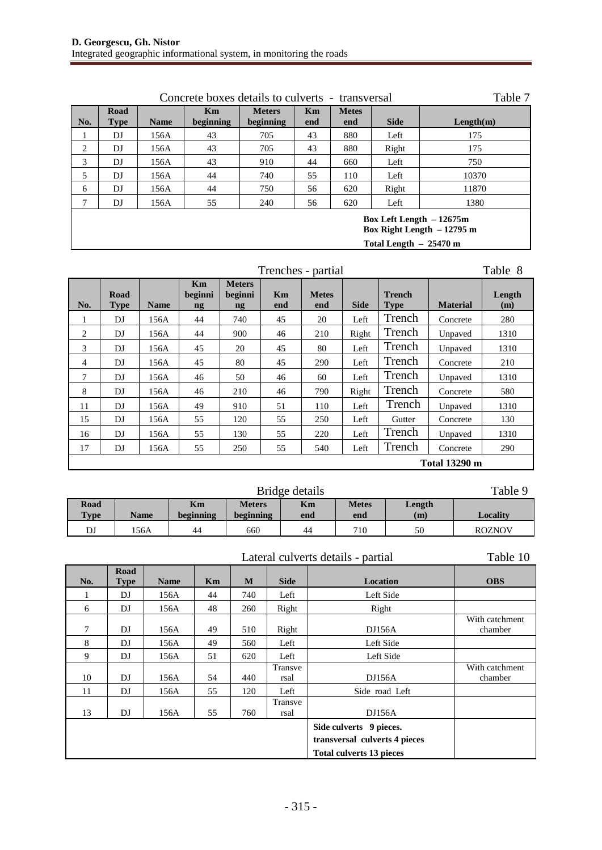|     | Table 7                                                                             |             |                 |                            |           |                     |             |           |  |  |  |  |
|-----|-------------------------------------------------------------------------------------|-------------|-----------------|----------------------------|-----------|---------------------|-------------|-----------|--|--|--|--|
| No. | Road<br><b>Type</b>                                                                 | <b>Name</b> | Km<br>beginning | <b>Meters</b><br>beginning | Km<br>end | <b>Metes</b><br>end | <b>Side</b> | Length(m) |  |  |  |  |
| 1   | DJ                                                                                  | 156A        | 43              | 705                        | 43        | 880                 | Left        | 175       |  |  |  |  |
| 2   | DJ                                                                                  | 156A        | 43              | 705                        | 43        | 880                 | Right       | 175       |  |  |  |  |
| 3   | DJ                                                                                  | 156A        | 43              | 910                        | 44        | 660                 | Left        | 750       |  |  |  |  |
| 5   | DJ                                                                                  | 156A        | 44              | 740                        | 55        | 110                 | Left        | 10370     |  |  |  |  |
| 6   | DJ                                                                                  | 156A        | 44              | 750                        | 56        | 620                 | Right       | 11870     |  |  |  |  |
|     | DJ                                                                                  | 156A        | 55              | 240                        | 56        | 620                 | Left        | 1380      |  |  |  |  |
|     | Box Left Length $-12675m$<br>Box Right Length $-12795$ m<br>Total Length $-25470$ m |             |                 |                            |           |                     |             |           |  |  |  |  |

## Trenches - partial Table 8

| No.            | Road<br><b>Type</b> | <b>Name</b> | Km<br>beginni<br>ng | <b>Meters</b><br>beginni<br>$\mathbf{ng}$ | Km<br>end | <b>Metes</b><br>end | <b>Side</b> | <b>Trench</b><br><b>Type</b> | <b>Material</b>      | Length<br>(m) |
|----------------|---------------------|-------------|---------------------|-------------------------------------------|-----------|---------------------|-------------|------------------------------|----------------------|---------------|
| 1              | DJ                  | 156A        | 44                  | 740                                       | 45        | 20                  | Left        | Trench                       | Concrete             | 280           |
| 2              | DJ                  | 156A        | 44                  | 900                                       | 46        | 210                 | Right       | Trench                       | Unpaved              | 1310          |
| 3              | DJ                  | 156A        | 45                  | 20                                        | 45        | 80                  | Left        | Trench                       | Unpaved              | 1310          |
| $\overline{4}$ | DJ                  | 156A        | 45                  | 80                                        | 45        | 290                 | Left        | Trench                       | Concrete             | 210           |
| 7              | DJ                  | 156A        | 46                  | 50                                        | 46        | 60                  | Left        | Trench                       | Unpaved              | 1310          |
| 8              | DJ                  | 156A        | 46                  | 210                                       | 46        | 790                 | Right       | Trench                       | Concrete             | 580           |
| 11             | DJ                  | 156A        | 49                  | 910                                       | 51        | 110                 | Left        | Trench                       | Unpaved              | 1310          |
| 15             | DJ                  | 156A        | 55                  | 120                                       | 55        | 250                 | Left        | Gutter                       | Concrete             | 130           |
| 16             | DJ                  | 156A        | 55                  | 130                                       | 55        | 220                 | Left        | Trench                       | Unpaved              | 1310          |
| 17             | DJ                  | 156A        | 55                  | 250                                       | 55        | 540                 | Left        | Trench                       | Concrete             | 290           |
|                |                     |             |                     |                                           |           |                     |             |                              | <b>Total 13290 m</b> |               |

| Table 9<br>Bridge details |             |                 |                            |           |                     |               |               |  |  |  |  |
|---------------------------|-------------|-----------------|----------------------------|-----------|---------------------|---------------|---------------|--|--|--|--|
| Road<br><b>Type</b>       | <b>Name</b> | Km<br>beginning | <b>Meters</b><br>beginning | Km<br>end | <b>Metes</b><br>end | Length<br>(m) | Locality      |  |  |  |  |
| DJ                        | 156A        | 44              | 660                        | 44        | 710                 | 50            | <b>ROZNOV</b> |  |  |  |  |

|        |                     |             |    |     |                 | Lateral culverts details - partial                       | Table 10                  |
|--------|---------------------|-------------|----|-----|-----------------|----------------------------------------------------------|---------------------------|
| No.    | Road<br><b>Type</b> | <b>Name</b> | Km | M   | <b>Side</b>     | Location                                                 | <b>OBS</b>                |
|        | DJ                  | 156A        | 44 | 740 | Left            | Left Side                                                |                           |
| 6      | DJ                  | 156A        | 48 | 260 | Right           | Right                                                    |                           |
| $\tau$ | DJ                  | 156A        | 49 | 510 | Right           | DJ156A                                                   | With catchment<br>chamber |
| 8      | DJ                  | 156A        | 49 | 560 | Left            | Left Side                                                |                           |
| 9      | DJ                  | 156A        | 51 | 620 | Left            | Left Side                                                |                           |
| 10     | DJ                  | 156A        | 54 | 440 | Transve<br>rsal | DJ156A                                                   | With catchment<br>chamber |
| 11     | DJ                  | 156A        | 55 | 120 | Left            | Side road Left                                           |                           |
| 13     | DJ                  | 156A        | 55 | 760 | Transve<br>rsal | DJ156A                                                   |                           |
|        |                     |             |    |     |                 | Side culverts 9 pieces.<br>transversal culverts 4 pieces |                           |
|        |                     |             |    |     |                 | <b>Total culverts 13 pieces</b>                          |                           |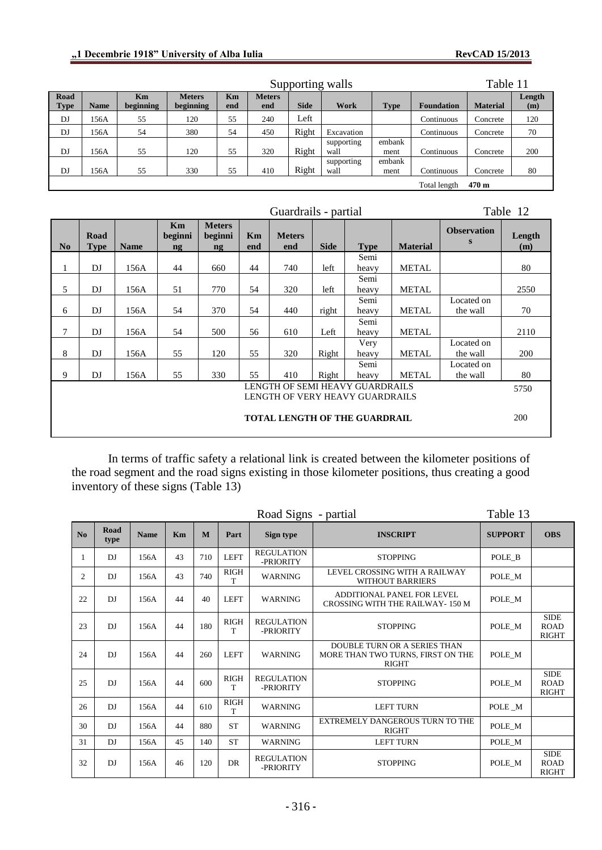|                     |                                  |                        |                            | Table 11  |                      |             |                    |                |                   |                 |               |  |  |
|---------------------|----------------------------------|------------------------|----------------------------|-----------|----------------------|-------------|--------------------|----------------|-------------------|-----------------|---------------|--|--|
| Road<br><b>Type</b> | <b>Name</b>                      | <b>Km</b><br>beginning | <b>Meters</b><br>beginning | Km<br>end | <b>Meters</b><br>end | <b>Side</b> | Work               | <b>Type</b>    | <b>Foundation</b> | <b>Material</b> | Length<br>(m) |  |  |
| DJ                  | 156A                             | 55                     | 120                        | 55        | 240                  | Left        |                    |                | Continuous        | Concrete        | 120           |  |  |
| DJ                  | 156A                             | 54                     | 380                        | 54        | 450                  | Right       | Excavation         |                | Continuous        | Concrete        | 70            |  |  |
| DJ                  | 156A                             | 55                     | 120                        | 55        | 320                  | Right       | supporting<br>wall | embank<br>ment | Continuous        | Concrete        | 200           |  |  |
| DJ                  | 156A                             | 55                     | 330                        | 55        | 410                  | Right       | supporting<br>wall | embank<br>ment | Continuous        | Concrete        | 80            |  |  |
|                     |                                  |                        |                            |           |                      |             |                    |                | Total length      | $470 \text{ m}$ |               |  |  |
|                     | Table 12<br>Guardrails - partial |                        |                            |           |                      |             |                    |                |                   |                 |               |  |  |
|                     |                                  |                        |                            |           |                      |             |                    |                |                   |                 |               |  |  |

|                                      | Road        |             | Km<br>beginni | <b>Meters</b><br>beginni | Km  | <b>Meters</b> |             |                                 |                 | <b>Observation</b> | Length     |
|--------------------------------------|-------------|-------------|---------------|--------------------------|-----|---------------|-------------|---------------------------------|-----------------|--------------------|------------|
| N <sub>0</sub>                       | <b>Type</b> | <b>Name</b> | $\mathbf{ng}$ | $\mathbf{ng}$            | end | end           | <b>Side</b> | <b>Type</b>                     | <b>Material</b> | S                  | (m)        |
|                                      |             |             |               |                          |     |               |             | Semi                            |                 |                    |            |
| 1                                    | DJ          | 156A        | 44            | 660                      | 44  | 740           | left        | heavy                           | <b>METAL</b>    |                    | 80         |
|                                      |             |             |               |                          |     |               |             | Semi                            |                 |                    |            |
| 5                                    | DJ          | 156A        | 51            | 770                      | 54  | 320           | left        | heavy                           | <b>METAL</b>    |                    | 2550       |
|                                      |             |             |               |                          |     |               |             | Semi                            |                 | Located on         |            |
| 6                                    | DJ          | 156A        | 54            | 370                      | 54  | 440           | right       | heavy                           | <b>METAL</b>    | the wall           | 70         |
|                                      |             |             |               |                          |     |               |             | Semi                            |                 |                    |            |
| 7                                    | DJ          | 156A        | 54            | 500                      | 56  | 610           | Left        | heavy                           | <b>METAL</b>    |                    | 2110       |
|                                      |             |             |               |                          |     |               |             | Very                            |                 | Located on         |            |
| 8                                    | DJ          | 156A        | 55            | 120                      | 55  | 320           | Right       | heavy                           | <b>METAL</b>    | the wall           | 200        |
|                                      |             |             |               |                          |     |               |             | Semi                            |                 | Located on         |            |
| 9                                    | DJ          | 156A        | 55            | 330                      | 55  | 410           | Right       | heavy                           | <b>METAL</b>    | the wall           | 80         |
|                                      |             |             |               |                          |     |               |             | LENGTH OF SEMI HEAVY GUARDRAILS |                 |                    | 5750       |
|                                      |             |             |               |                          |     |               |             | LENGTH OF VERY HEAVY GUARDRAILS |                 |                    |            |
| <b>TOTAL LENGTH OF THE GUARDRAIL</b> |             |             |               |                          |     |               |             |                                 |                 |                    | <b>200</b> |

In terms of traffic safety a relational link is created between the kilometer positions of the road segment and the road signs existing in those kilometer positions, thus creating a good inventory of these signs (Table 13)

|    |              |             |    |     |                  | Road Signs - partial           | Table 13                                                                          |                |                                            |
|----|--------------|-------------|----|-----|------------------|--------------------------------|-----------------------------------------------------------------------------------|----------------|--------------------------------------------|
| No | Road<br>type | <b>Name</b> | Km | M   | Part             | Sign type                      | <b>INSCRIPT</b>                                                                   | <b>SUPPORT</b> | <b>OBS</b>                                 |
|    | DI           | 156A        | 43 | 710 | <b>LEFT</b>      | <b>REGULATION</b><br>-PRIORITY | <b>STOPPING</b>                                                                   | POLE B         |                                            |
| 2  | DJ.          | 156A        | 43 | 740 | <b>RIGH</b><br>T | <b>WARNING</b>                 | LEVEL CROSSING WITH A RAILWAY<br><b>WITHOUT BARRIERS</b>                          | POLE_M         |                                            |
| 22 | DI           | 156A        | 44 | 40  | <b>LEFT</b>      | <b>WARNING</b>                 | ADDITIONAL PANEL FOR LEVEL<br>CROSSING WITH THE RAILWAY - 150 M                   | POLE M         |                                            |
| 23 | DI           | 156A        | 44 | 180 | <b>RIGH</b><br>T | <b>REGULATION</b><br>-PRIORITY | <b>STOPPING</b>                                                                   | POLE M         | <b>SIDE</b><br><b>ROAD</b><br><b>RIGHT</b> |
| 24 | DI           | 156A        | 44 | 260 | <b>LEFT</b>      | <b>WARNING</b>                 | DOUBLE TURN OR A SERIES THAN<br>MORE THAN TWO TURNS. FIRST ON THE<br><b>RIGHT</b> | POLE M         |                                            |
| 25 | DJ           | 156A        | 44 | 600 | <b>RIGH</b><br>T | <b>REGULATION</b><br>-PRIORITY | <b>STOPPING</b>                                                                   | POLE M         | <b>SIDE</b><br><b>ROAD</b><br><b>RIGHT</b> |
| 26 | DJ           | 156A        | 44 | 610 | <b>RIGH</b><br>T | <b>WARNING</b>                 | <b>LEFT TURN</b>                                                                  | POLE M         |                                            |
| 30 | DJ.          | 156A        | 44 | 880 | <b>ST</b>        | <b>WARNING</b>                 | EXTREMELY DANGEROUS TURN TO THE<br><b>RIGHT</b>                                   | POLE M         |                                            |
| 31 | DJ           | 156A        | 45 | 140 | <b>ST</b>        | <b>WARNING</b>                 | <b>LEFT TURN</b>                                                                  | POLE_M         |                                            |
| 32 | DI           | 156A        | 46 | 120 | <b>DR</b>        | <b>REGULATION</b><br>-PRIORITY | <b>STOPPING</b>                                                                   | POLE M         | <b>SIDE</b><br><b>ROAD</b><br><b>RIGHT</b> |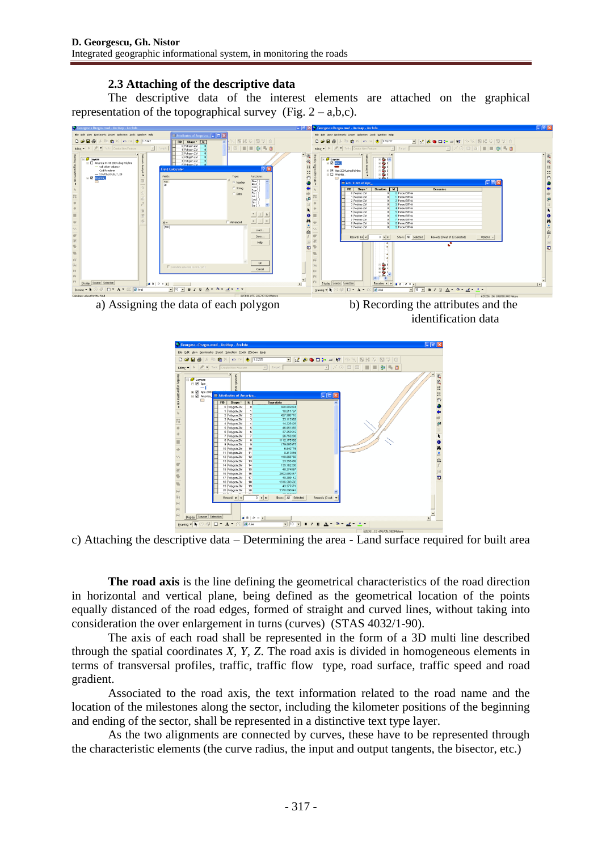## **2.3 Attaching of the descriptive data**

The descriptive data of the interest elements are attached on the graphical representation of the topographical survey (Fig.  $2 - a,b,c$ ).



a) Assigning the data of each polygon b) Recording the attributes and the

identification data



c) Attaching the descriptive data – Determining the area - Land surface required for built area

**The road axis** is the line defining the geometrical characteristics of the road direction in horizontal and vertical plane, being defined as the geometrical location of the points equally distanced of the road edges, formed of straight and curved lines, without taking into consideration the over enlargement in turns (curves) (STAS 4032/1-90).

The axis of each road shall be represented in the form of a 3D multi line described through the spatial coordinates *X, Y, Z*. The road axis is divided in homogeneous elements in terms of transversal profiles, traffic, traffic flow type, road surface, traffic speed and road gradient.

Associated to the road axis, the text information related to the road name and the location of the milestones along the sector, including the kilometer positions of the beginning and ending of the sector, shall be represented in a distinctive text type layer.

As the two alignments are connected by curves, these have to be represented through the characteristic elements (the curve radius, the input and output tangents, the bisector, etc.)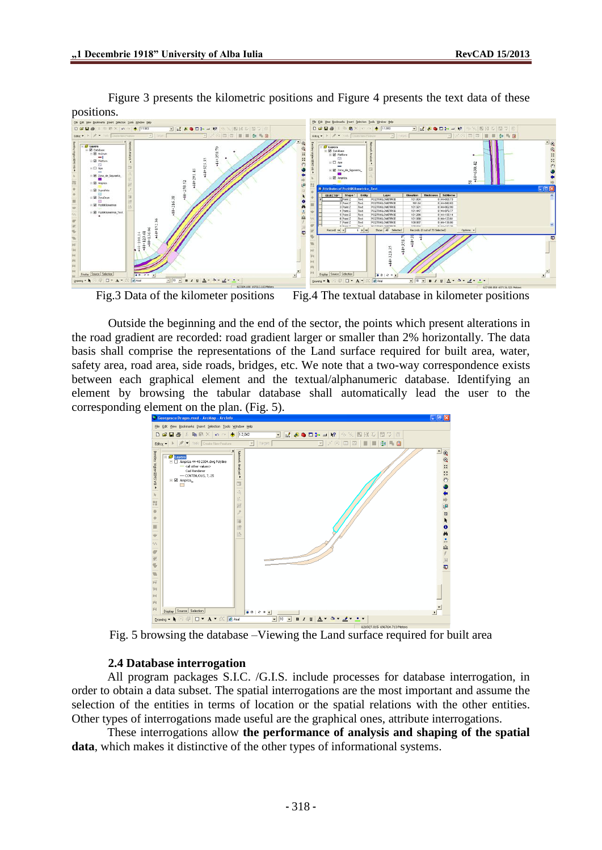

Figure 3 presents the kilometric positions and Figure 4 presents the text data of these

Fig.3 Data of the kilometer positions Fig.4 The textual database in kilometer positions

Outside the beginning and the end of the sector, the points which present alterations in the road gradient are recorded: road gradient larger or smaller than 2% horizontally. The data basis shall comprise the representations of the Land surface required for built area, water, safety area, road area, side roads, bridges, etc. We note that a two-way correspondence exists between each graphical element and the textual/alphanumeric database. Identifying an element by browsing the tabular database shall automatically lead the user to the corresponding element on the plan. (Fig. 5).



Fig. 5 browsing the database –Viewing the Land surface required for built area

#### **2.4 Database interrogation**

All program packages S.I.C. /G.I.S. include processes for database interrogation, in order to obtain a data subset. The spatial interrogations are the most important and assume the selection of the entities in terms of location or the spatial relations with the other entities. Other types of interrogations made useful are the graphical ones, attribute interrogations.

These interrogations allow **the performance of analysis and shaping of the spatial data**, which makes it distinctive of the other types of informational systems.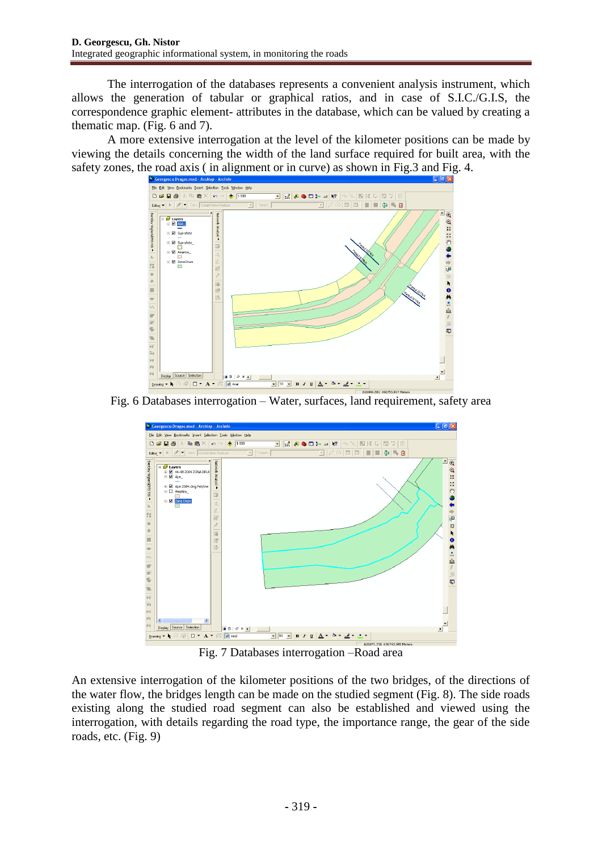The interrogation of the databases represents a convenient analysis instrument, which allows the generation of tabular or graphical ratios, and in case of S.I.C./G.I.S, the correspondence graphic element- attributes in the database, which can be valued by creating a thematic map. (Fig. 6 and 7).

A more extensive interrogation at the level of the kilometer positions can be made by viewing the details concerning the width of the land surface required for built area, with the safety zones, the road axis ( in alignment or in curve) as shown in Fig.3 and Fig. 4.



Fig. 6 Databases interrogation – Water, surfaces, land requirement, safety area



Fig. 7 Databases interrogation –Road area

An extensive interrogation of the kilometer positions of the two bridges, of the directions of the water flow, the bridges length can be made on the studied segment (Fig. 8). The side roads existing along the studied road segment can also be established and viewed using the interrogation, with details regarding the road type, the importance range, the gear of the side roads, etc. (Fig. 9)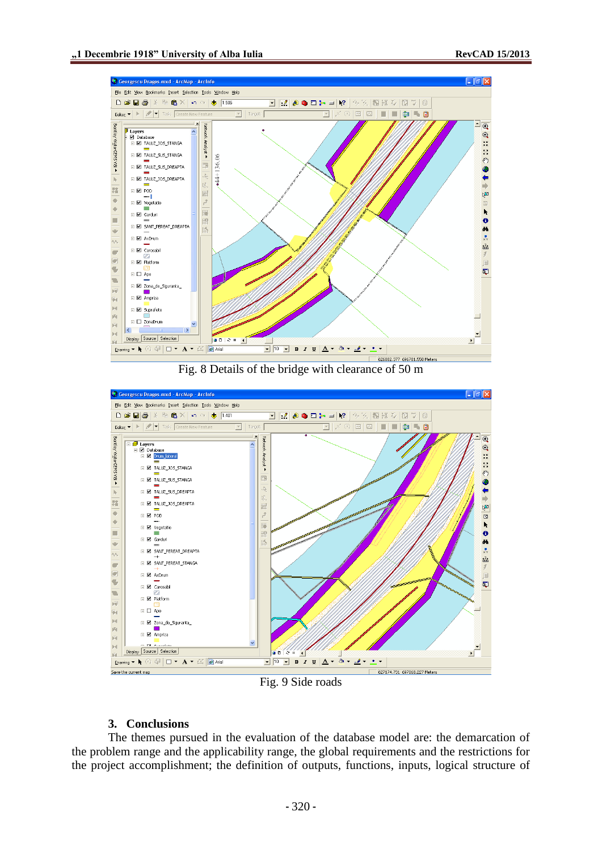

Fig. 8 Details of the bridge with clearance of 50 m



Fig. 9 Side roads

### **3. Conclusions**

The themes pursued in the evaluation of the database model are: the demarcation of the problem range and the applicability range, the global requirements and the restrictions for the project accomplishment; the definition of outputs, functions, inputs, logical structure of